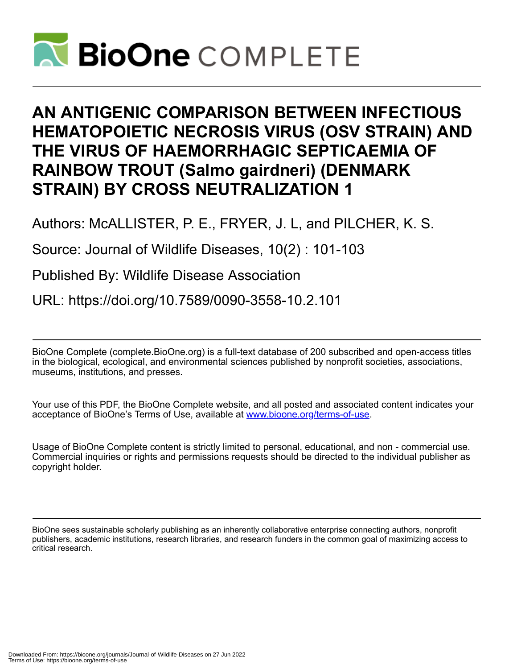

# **AN ANTIGENIC COMPARISON BETWEEN INFECTIOUS HEMATOPOIETIC NECROSIS VIRUS (OSV STRAIN) AND THE VIRUS OF HAEMORRHAGIC SEPTICAEMIA OF RAINBOW TROUT (Salmo gairdneri) (DENMARK STRAIN) BY CROSS NEUTRALIZATION 1**

Authors: McALLISTER, P. E., FRYER, J. L, and PILCHER, K. S.

Source: Journal of Wildlife Diseases, 10(2) : 101-103

Published By: Wildlife Disease Association

URL: https://doi.org/10.7589/0090-3558-10.2.101

BioOne Complete (complete.BioOne.org) is a full-text database of 200 subscribed and open-access titles in the biological, ecological, and environmental sciences published by nonprofit societies, associations, museums, institutions, and presses.

Your use of this PDF, the BioOne Complete website, and all posted and associated content indicates your acceptance of BioOne's Terms of Use, available at www.bioone.org/terms-of-use.

Usage of BioOne Complete content is strictly limited to personal, educational, and non - commercial use. Commercial inquiries or rights and permissions requests should be directed to the individual publisher as copyright holder.

BioOne sees sustainable scholarly publishing as an inherently collaborative enterprise connecting authors, nonprofit publishers, academic institutions, research libraries, and research funders in the common goal of maximizing access to critical research.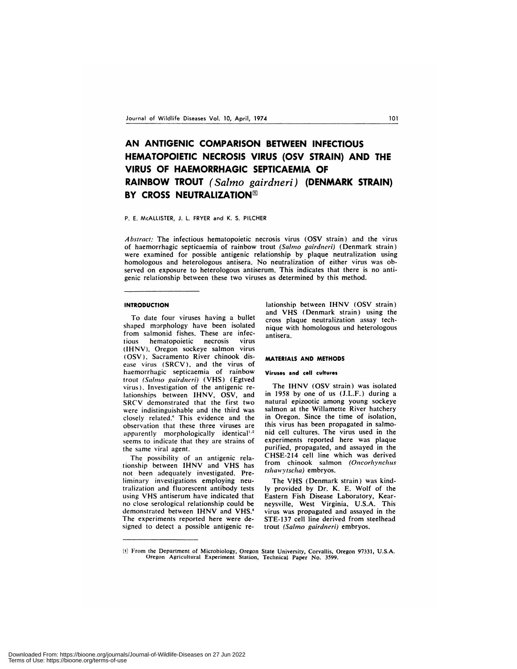## **AN ANTIGENIC COMPARISON BETWEEN INFECTIOUS HEMATOPOIETIC NECROSIS VIRUS (OSV STRAIN) AND THE VIRUS OF HAEMORRHAGIC SEPTICAEMIA OF RAINBOW TROUT** *(Salmo gairdneri)* **(DENMARK STRAIN) BY CROSS NEUTRALIZATION**

#### P. E. McALLISTER, J. L. FRYER and K. S. PILCHER

*Abstract:* The infectious hematopoietic necrosis virus (OSV strain) and the virus of haemorrhagic septicaemia of rainbow trout *(Salmo gairdneri)* (Denmark strain) were examined for possible antigenic relationship by plaque neutralization using homologous and heterologous antisera. No neutralization of either virus was observed on exposure to heterologous antiserum. This indicates that there is no antigenic relationship between these two viruses as determined by this method.

#### **INTRODUCTION**

To date four viruses having a bullet shaped morphology have been isolated from salmonid fishes. These are infectious hematopoietic necrosis virus (IHNV), Oregon sockeye salmon virus (OSV). Sacramento River chinook disease virus (SRCV), and the virus of haemorrhagic septicaemia of rainbow trout *(Salmo gairdneri)* (VHS) *(Egtved* virus). Investigation of the antigenic relationships between IHNV, OSV, and **SRCV** demonstrated that the first two were indistinguishable and the third was closely related." This evidence and the observation that these three viruses are apparently morphologically identical<sup>1,2</sup> seems to indicate that they are strains of the same viral agent.

The possibility of an antigenic relationship between IHNV and VHS has not been adequately investigated. Preliminary investigations employing neutralization and fluorescent antibody tests using **VHS** antiserum have indicated that no close serological relationship could be demonstrated between IHNV and VHS.<sup>4</sup> The experiments reported here were designed to detect a possible antigenic relationship between IHNV (OSV strain) and VHS (Denmark strain) using the cross plaque neutralization assay technique with homologous and heterologous antisera.

#### **MATERIALS AND METHODS**

#### **Viruses and cell cultures**

The IHNV (OSV strain) was isolated in 1958 by one of us (J.L.F.) during a natural epizootic among young sockeye salmon at the Willamette River hatchery in Oregon. Since the time of isolation, this virus has been propagated in salmonid cell cultures. The virus used in the experiments reported here was plaque purified, propagated, and assayed in the CHSE-214 cell line which was derived from chinook salmon *(Oncorhynchus*  $tshawytscha)$  embryos.

The VHS (Denmark strain) was kindly provided by Dr. K. E. Wolf of the Eastern Fish Disease Laboratory, Kearneysville, West Virginia, U.S.A. This virus was propagated and assayed in the STE-137 cell line derived from steelhead trout *(Sal,no gairdneri)* embryos.

<sup>[</sup>ii From the Department of Microbiology, Oregon State University, Corvallis, Oregon 97331, U.S.A. Oregon Agricultural Experiment Station, Technical Paper No. *3599.*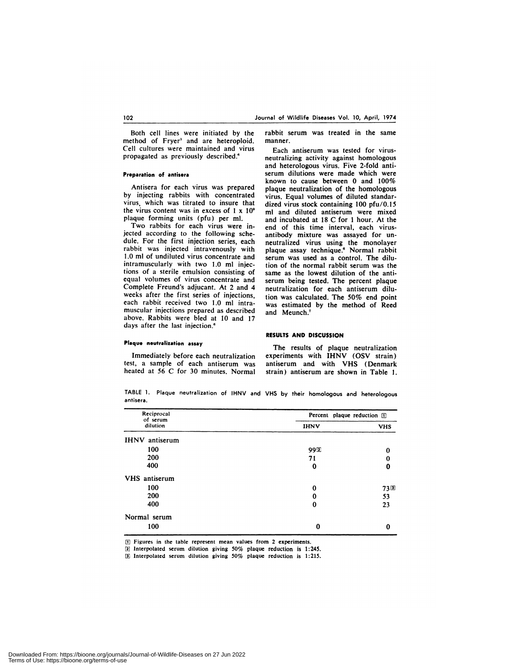Both cell lines were initiated by the method of Fryer' and are heteroploid. Cell cultures were maintained and virus propagated as previously described.'

#### **Preparation of antisera**

Antisera for each virus was prepared by injecting rabbits with concentrated virus, which was titrated to insure that the virus content was in excess of 1 x **10'** plaque forming units (pfu) per ml.

Two rabbits for each virus were injected according to the following schedule. For the first injection series, each rabbit was injected intravenously with 1.0 ml of undiluted virus concentrate and intramuscularly with two 1.0 ml injections of a sterile emulsion consisting of equal volumes of virus concentrate and Complete Freund's adjucant. At 2 and 4 weeks after the first series of injections, each rabbit received two **1.0** ml intramuscular injections prepared as described above. Rabbits were bled at **10** and 17 days after the last injection.<sup>6</sup>

rabbit serum was treated in the same manner.

Each antiserum was tested for virusneutralizing activity against homologous and heterologous virus. Five 2-fold anti serum dilutions were made which were known to cause between 0 and 100% plaque neutralization of the homologous virus. Equal volumes of diluted standardized virus stock containing 100 pfu/0.15 ml and diluted antiserum were mixed and incubated at **18 C** for1 hour. At the end of this time interval, each virusantibody mixture was assayed for un neutralized virus using the monolayer plaque assay technique.' Normal rabbit serum was used as a control. The dilution of the normal rabbit serum was the same as the lowest dilution of the anti serum being tested. The percent plaque neutralization for each antiserum dilution was calculated. The 50% end point was estimated **by** the method of Reed and Meunch.<sup>7</sup>

### **Plaque neutralization assay**

Immediately before each neutralization test, a sample of each antiserum was heated at 56 C for 30 minutes. Normal

The results of plaque neutralization experiments with IHNV (OSV strain) antiserum and with VHS (Denmark strain) antiserum are shown in Table I.

**RESULTS AND DISCUSSION**

TABLE 1. Plaque neutralization of IHNV and VHS by their homologous and heterologous antisera.

| Reciprocal<br>of serum<br>dilution | Percent plaque reduction [1] |            |
|------------------------------------|------------------------------|------------|
|                                    | <b>IHNV</b>                  | <b>VHS</b> |
| <b>IHNV</b> antiserum              |                              |            |
| 100                                | 992                          | $\bf{0}$   |
| 200                                | 71                           | 0          |
| 400                                | 0                            | 0          |
| VHS antiserum                      |                              |            |
| 100                                | 0                            | 730        |
| 200                                | $\bf{0}$                     | 53         |
| 400                                | $\bf{0}$                     | 23         |
| Normal serum                       |                              |            |
| 100                                | $\bf{0}$                     | $\bf{0}$   |

LU Figures in the table represent mean values from 2 experiments.

[2] Interpolated serum dilution giving 50% plaque reduction is 1:245.

Interpolated serum dilution giving *50%* plaquereduction is *1:215.*